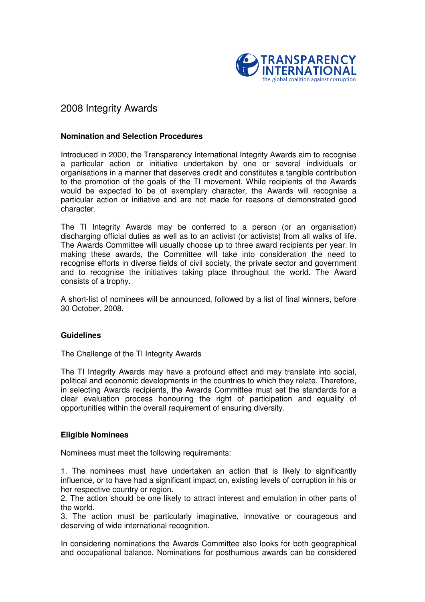

# 2008 Integrity Awards

### **Nomination and Selection Procedures**

Introduced in 2000, the Transparency International Integrity Awards aim to recognise a particular action or initiative undertaken by one or several individuals or organisations in a manner that deserves credit and constitutes a tangible contribution to the promotion of the goals of the TI movement. While recipients of the Awards would be expected to be of exemplary character, the Awards will recognise a particular action or initiative and are not made for reasons of demonstrated good character.

The TI Integrity Awards may be conferred to a person (or an organisation) discharging official duties as well as to an activist (or activists) from all walks of life. The Awards Committee will usually choose up to three award recipients per year. In making these awards, the Committee will take into consideration the need to recognise efforts in diverse fields of civil society, the private sector and government and to recognise the initiatives taking place throughout the world. The Award consists of a trophy.

A short-list of nominees will be announced, followed by a list of final winners, before 30 October, 2008.

#### **Guidelines**

The Challenge of the TI Integrity Awards

The TI Integrity Awards may have a profound effect and may translate into social, political and economic developments in the countries to which they relate. Therefore, in selecting Awards recipients, the Awards Committee must set the standards for a clear evaluation process honouring the right of participation and equality of opportunities within the overall requirement of ensuring diversity.

# **Eligible Nominees**

Nominees must meet the following requirements:

1. The nominees must have undertaken an action that is likely to significantly influence, or to have had a significant impact on, existing levels of corruption in his or her respective country or region.

2. The action should be one likely to attract interest and emulation in other parts of the world.

3. The action must be particularly imaginative, innovative or courageous and deserving of wide international recognition.

In considering nominations the Awards Committee also looks for both geographical and occupational balance. Nominations for posthumous awards can be considered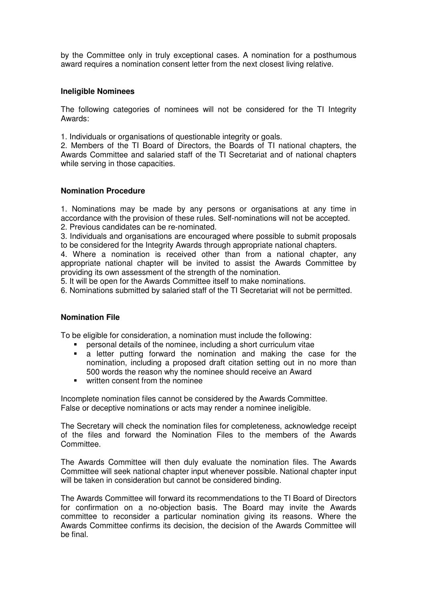by the Committee only in truly exceptional cases. A nomination for a posthumous award requires a nomination consent letter from the next closest living relative.

# **Ineligible Nominees**

The following categories of nominees will not be considered for the TI Integrity Awards:

1. Individuals or organisations of questionable integrity or goals.

2. Members of the TI Board of Directors, the Boards of TI national chapters, the Awards Committee and salaried staff of the TI Secretariat and of national chapters while serving in those capacities.

# **Nomination Procedure**

1. Nominations may be made by any persons or organisations at any time in accordance with the provision of these rules. Self-nominations will not be accepted.

2. Previous candidates can be re-nominated.

3. Individuals and organisations are encouraged where possible to submit proposals to be considered for the Integrity Awards through appropriate national chapters.

4. Where a nomination is received other than from a national chapter, any appropriate national chapter will be invited to assist the Awards Committee by providing its own assessment of the strength of the nomination.

5. It will be open for the Awards Committee itself to make nominations.

6. Nominations submitted by salaried staff of the TI Secretariat will not be permitted.

#### **Nomination File**

To be eligible for consideration, a nomination must include the following:

- personal details of the nominee, including a short curriculum vitae
- a letter putting forward the nomination and making the case for the nomination, including a proposed draft citation setting out in no more than 500 words the reason why the nominee should receive an Award
- **•** written consent from the nominee

Incomplete nomination files cannot be considered by the Awards Committee. False or deceptive nominations or acts may render a nominee ineligible.

The Secretary will check the nomination files for completeness, acknowledge receipt of the files and forward the Nomination Files to the members of the Awards Committee.

The Awards Committee will then duly evaluate the nomination files. The Awards Committee will seek national chapter input whenever possible. National chapter input will be taken in consideration but cannot be considered binding.

The Awards Committee will forward its recommendations to the TI Board of Directors for confirmation on a no-objection basis. The Board may invite the Awards committee to reconsider a particular nomination giving its reasons. Where the Awards Committee confirms its decision, the decision of the Awards Committee will be final.